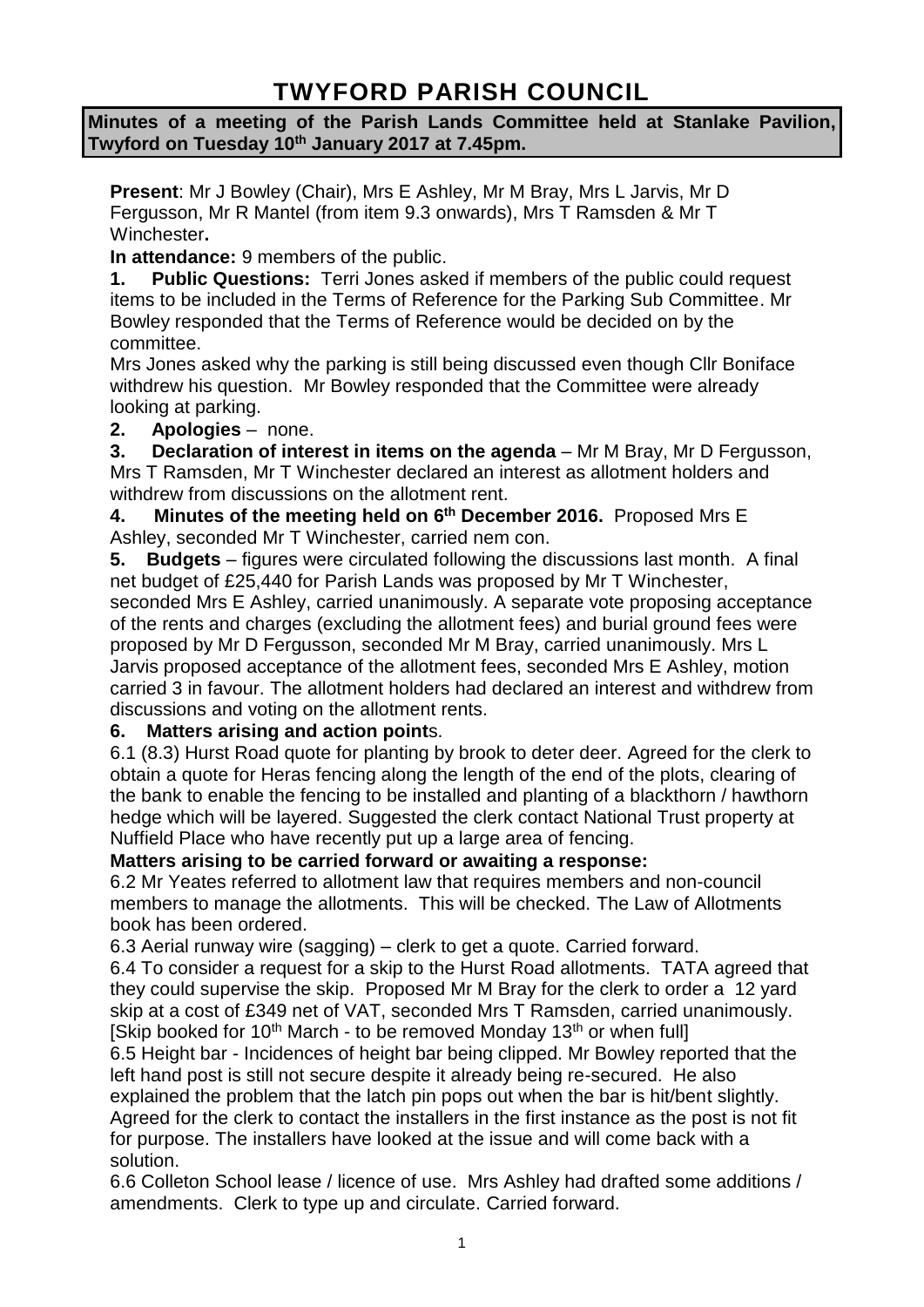# **TWYFORD PARISH COUNCIL**

**Minutes of a meeting of the Parish Lands Committee held at Stanlake Pavilion, Twyford on Tuesday 10th January 2017 at 7.45pm.**

**Present**: Mr J Bowley (Chair), Mrs E Ashley, Mr M Bray, Mrs L Jarvis, Mr D Fergusson, Mr R Mantel (from item 9.3 onwards), Mrs T Ramsden & Mr T Winchester**.**

**In attendance:** 9 members of the public.

**1. Public Questions:** Terri Jones asked if members of the public could request items to be included in the Terms of Reference for the Parking Sub Committee. Mr Bowley responded that the Terms of Reference would be decided on by the committee.

Mrs Jones asked why the parking is still being discussed even though Cllr Boniface withdrew his question. Mr Bowley responded that the Committee were already looking at parking.

#### **2. Apologies** – none.

**3. Declaration of interest in items on the agenda** – Mr M Bray, Mr D Fergusson, Mrs T Ramsden, Mr T Winchester declared an interest as allotment holders and withdrew from discussions on the allotment rent.

**4. Minutes of the meeting held on 6 th December 2016.** Proposed Mrs E Ashley, seconded Mr T Winchester, carried nem con.

**5. Budgets** – figures were circulated following the discussions last month. A final net budget of £25,440 for Parish Lands was proposed by Mr T Winchester, seconded Mrs E Ashley, carried unanimously. A separate vote proposing acceptance of the rents and charges (excluding the allotment fees) and burial ground fees were proposed by Mr D Fergusson, seconded Mr M Bray, carried unanimously. Mrs L Jarvis proposed acceptance of the allotment fees, seconded Mrs E Ashley, motion carried 3 in favour. The allotment holders had declared an interest and withdrew from discussions and voting on the allotment rents.

#### **6. Matters arising and action point**s.

6.1 (8.3) Hurst Road quote for planting by brook to deter deer. Agreed for the clerk to obtain a quote for Heras fencing along the length of the end of the plots, clearing of the bank to enable the fencing to be installed and planting of a blackthorn / hawthorn hedge which will be layered. Suggested the clerk contact National Trust property at Nuffield Place who have recently put up a large area of fencing.

**Matters arising to be carried forward or awaiting a response:**

6.2 Mr Yeates referred to allotment law that requires members and non-council members to manage the allotments. This will be checked. The Law of Allotments book has been ordered.

6.3 Aerial runway wire (sagging) – clerk to get a quote. Carried forward.

6.4 To consider a request for a skip to the Hurst Road allotments. TATA agreed that they could supervise the skip. Proposed Mr M Bray for the clerk to order a 12 yard skip at a cost of £349 net of VAT, seconded Mrs T Ramsden, carried unanimously. [Skip booked for 10<sup>th</sup> March - to be removed Monday 13<sup>th</sup> or when full]

6.5 Height bar - Incidences of height bar being clipped. Mr Bowley reported that the left hand post is still not secure despite it already being re-secured. He also explained the problem that the latch pin pops out when the bar is hit/bent slightly. Agreed for the clerk to contact the installers in the first instance as the post is not fit for purpose. The installers have looked at the issue and will come back with a solution.

6.6 Colleton School lease / licence of use. Mrs Ashley had drafted some additions / amendments. Clerk to type up and circulate. Carried forward.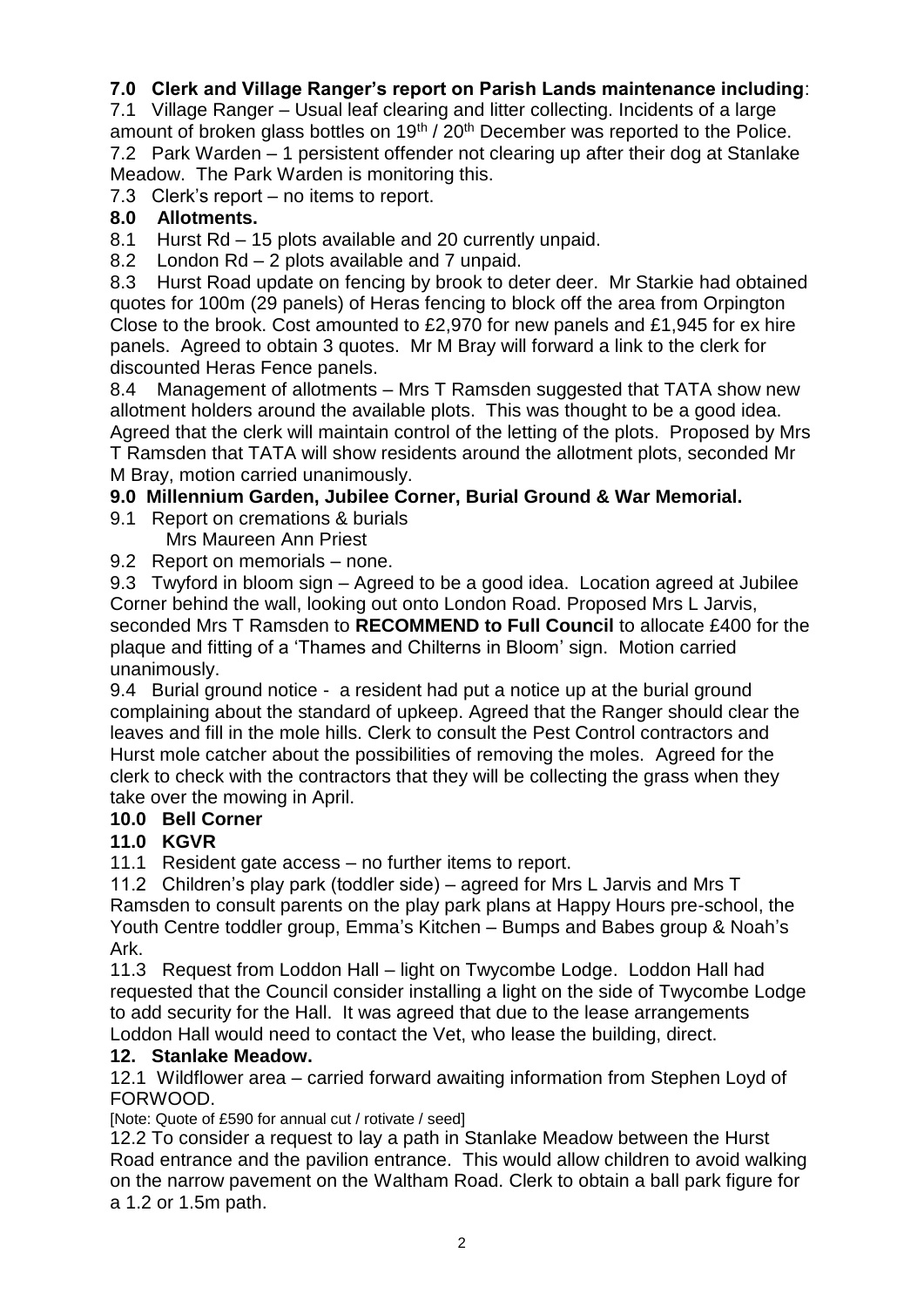# **7.0 Clerk and Village Ranger's report on Parish Lands maintenance including**:

7.1 Village Ranger – Usual leaf clearing and litter collecting. Incidents of a large amount of broken glass bottles on 19<sup>th</sup> / 20<sup>th</sup> December was reported to the Police. 7.2 Park Warden – 1 persistent offender not clearing up after their dog at Stanlake Meadow. The Park Warden is monitoring this.

7.3 Clerk's report – no items to report.

#### **8.0 Allotments.**

8.1 Hurst Rd – 15 plots available and 20 currently unpaid.

8.2 London Rd – 2 plots available and 7 unpaid.

8.3 Hurst Road update on fencing by brook to deter deer. Mr Starkie had obtained quotes for 100m (29 panels) of Heras fencing to block off the area from Orpington Close to the brook. Cost amounted to £2,970 for new panels and £1,945 for ex hire panels. Agreed to obtain 3 quotes. Mr M Bray will forward a link to the clerk for discounted Heras Fence panels.

8.4 Management of allotments – Mrs T Ramsden suggested that TATA show new allotment holders around the available plots. This was thought to be a good idea. Agreed that the clerk will maintain control of the letting of the plots. Proposed by Mrs T Ramsden that TATA will show residents around the allotment plots, seconded Mr M Bray, motion carried unanimously.

# **9.0 Millennium Garden, Jubilee Corner, Burial Ground & War Memorial.**

- 9.1 Report on cremations & burials
	- Mrs Maureen Ann Priest
- 9.2 Report on memorials none.

9.3 Twyford in bloom sign – Agreed to be a good idea. Location agreed at Jubilee Corner behind the wall, looking out onto London Road. Proposed Mrs L Jarvis, seconded Mrs T Ramsden to **RECOMMEND to Full Council** to allocate £400 for the plaque and fitting of a 'Thames and Chilterns in Bloom' sign. Motion carried unanimously.

9.4 Burial ground notice - a resident had put a notice up at the burial ground complaining about the standard of upkeep. Agreed that the Ranger should clear the leaves and fill in the mole hills. Clerk to consult the Pest Control contractors and Hurst mole catcher about the possibilities of removing the moles. Agreed for the clerk to check with the contractors that they will be collecting the grass when they take over the mowing in April.

# **10.0 Bell Corner**

# **11.0 KGVR**

11.1 Resident gate access – no further items to report.

11.2 Children's play park (toddler side) – agreed for Mrs L Jarvis and Mrs T Ramsden to consult parents on the play park plans at Happy Hours pre-school, the Youth Centre toddler group, Emma's Kitchen – Bumps and Babes group & Noah's Ark.

11.3 Request from Loddon Hall – light on Twycombe Lodge. Loddon Hall had requested that the Council consider installing a light on the side of Twycombe Lodge to add security for the Hall. It was agreed that due to the lease arrangements Loddon Hall would need to contact the Vet, who lease the building, direct.

# **12. Stanlake Meadow.**

12.1 Wildflower area – carried forward awaiting information from Stephen Loyd of FORWOOD.

[Note: Quote of £590 for annual cut / rotivate / seed]

12.2 To consider a request to lay a path in Stanlake Meadow between the Hurst Road entrance and the pavilion entrance. This would allow children to avoid walking on the narrow pavement on the Waltham Road. Clerk to obtain a ball park figure for a 1.2 or 1.5m path.